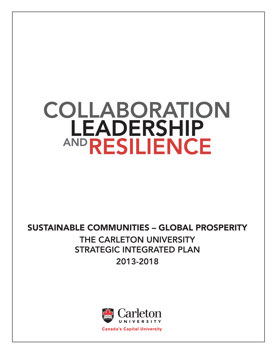# COLLABORATION **LEADERSHIP AND RESILIENCE**

### Sustainable communities – Global Prosperity

### THE CARLETON UNIVERSITY STRATEGIC INTEGRATED PLAN 2013-2018

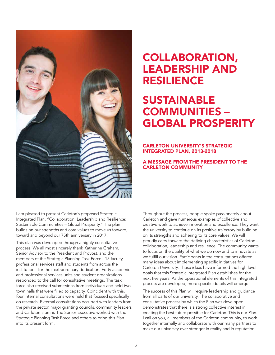

### COLLABORATION, LEADERSHIP AND RESILIENCE

# **SUSTAINABLE** COMMUNITIES – GLOBAL PROSPERITY

#### CARLETON UNIVERSITY'S STRATEGIC INTEGRATED PLAN, 2013-2018

#### A MESSAGE FROM THE PRESIDENT TO THE CARLETON COMMUNITY

I am pleased to present Carleton's proposed Strategic Integrated Plan, "Collaboration, Leadership and Resilience: Sustainable Communities – Global Prosperity." The plan builds on our strengths and core values to move us forward, toward and beyond our 75th anniversary in 2017.

This plan was developed through a highly consultative process. We all most sincerely thank Katherine Graham, Senior Advisor to the President and Provost, and the members of the Strategic Planning Task Force - 15 faculty, professional services staff and students from across the institution - for their extraordinary dedication. Forty academic and professional services units and student organizations responded to the call for consultative meetings. The task force also received submissions from individuals and held two town halls that were filled to capacity. Coincident with this, four internal consultations were held that focused specifically on research. External consultations occurred with leaders from the private sector, major granting councils, community leaders and Carleton alumni. The Senior Executive worked with the Strategic Planning Task Force and others to bring this Plan into its present form.

Throughout the process, people spoke passionately about Carleton and gave numerous examples of collective and creative work to achieve innovation and excellence. They want the university to continue on its positive trajectory by building on its strengths and adhering to its core values. We will proudly carry forward the defining characteristics of Carleton – collaboration, leadership and resilience. The community wants to focus on the quality of what we do now and to innovate as we fulfill our vision. Participants in the consultations offered many ideas about implementing specific initiatives for Carleton University. These ideas have informed the high level goals that this Strategic Integrated Plan establishes for the next five years. As the operational elements of this integrated process are developed, more specific details will emerge.

The success of this Plan will require leadership and guidance from all parts of our university. The collaborative and consultative process by which the Plan was developed demonstrates that there is a strong collective interest in creating the best future possible for Carleton. This is our Plan. I call on you, all members of the Carleton community, to work together internally and collaborate with our many partners to make our university ever stronger in reality and in reputation.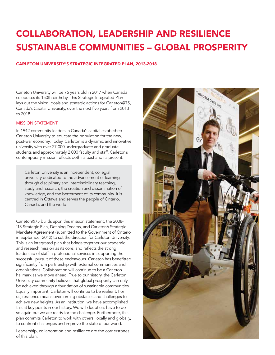# COLLABORATION, LEADERSHIP AND RESILIENCE SUSTAINABLE COMMUNITIES – GLOBAL PROSPERITY

#### CARLETON UNIVERSITY'S STRATEGIC INTEGRATED PLAN, 2013-2018

Carleton University will be 75 years old in 2017 when Canada celebrates its 150th birthday. This Strategic Integrated Plan lays out the vision, goals and strategic actions for Carleton@75, Canada's Capital University, over the next five years from 2013 to 2018.

#### **MISSION STATEMENT**

In 1942 community leaders in Canada's capital established Carleton University to educate the population for the new, post-war economy. Today, Carleton is a dynamic and innovative university with over 27,000 undergraduate and graduate students and approximately 2,000 faculty and staff. Carleton's contemporary mission reflects both its past and its present:

Carleton University is an independent, collegial university dedicated to the advancement of learning through disciplinary and interdisciplinary teaching, study and research, the creation and dissemination of knowledge, and the betterment of its community. It is centred in Ottawa and serves the people of Ontario, Canada, and the world.

Carleton@75 builds upon this mission statement, the 2008- '13 Strategic Plan, Defining Dreams, and Carleton's Strategic Mandate Agreement (submitted to the Government of Ontario in September 2012) to set the direction for Carleton University. This is an integrated plan that brings together our academic and research mission as its core, and reflects the strong leadership of staff in professional services in supporting the successful pursuit of these endeavours. Carleton has benefitted significantly from partnership with external communities and organizations. Collaboration will continue to be a Carleton hallmark as we move ahead. True to our history, the Carleton University community believes that global prosperity can only be achieved through a foundation of sustainable communities. Equally important, Carleton will continue to be resilient. For us, resilience means overcoming obstacles and challenges to achieve new heights. As an institution, we have accomplished this at key points in our history. We will doubtless have to do so again but we are ready for the challenge. Furthermore, this plan commits Carleton to work with others, locally and globally, to confront challenges and improve the state of our world.

Leadership, collaboration and resilience are the cornerstones of this plan.

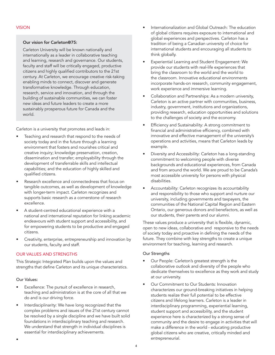#### Our vision for Carleton@75:

Carleton University will be known nationally and internationally as a leader in collaborative teaching and learning, research and governance. Our students, faculty and staff will be critically engaged, productive citizens and highly qualified contributors to the 21st century. At Carleton, we encourage creative risk-taking enabling minds to connect, discover and generate transformative knowledge. Through education, research, service and innovation, and through the building of sustainable communities, we can foster new ideas and future leaders to create a more sustainably prosperous future for Canada and the world.

Carleton is a university that promotes and leads in:

- Teaching and research that respond to the needs of society today and in the future through a learning environment that fosters and nourishes critical and creative inquiry; knowledge preservation, creation, dissemination and transfer; employability through the development of transferrable skills and intellectual capabilities; and the education of highly skilled and qualified citizens.
- Research excellence and connectedness that focus on tangible outcomes, as well as development of knowledge with longer-term impact. Carleton recognizes and supports basic research as a cornerstone of research excellence.
- A student-centred educational experience with a national and international reputation for linking academic endeavours with student support and accessibility, and for empowering students to be productive and engaged citizens.
- Creativity, enterprise, entrepreneurship and innovation by our students, faculty and staff.

#### Our Values and Strengths

This Strategic Integrated Plan builds upon the values and strengths that define Carleton and its unique characteristics.

#### Our Values:

•

- Excellence: The pursuit of excellence in research, teaching and administration is at the core of all that we do and is our driving force.
- Interdisciplinarity: We have long recognized that the complex problems and issues of the 21st century cannot be resolved by a single discipline and we have built solid foundations in interdisciplinary teaching and research. We understand that strength in individual disciplines is essential for interdisciplinary achievements.
- Internationalization and Global Outreach: The education of global citizens requires exposure to international and global experiences and perspectives. Carleton has a tradition of being a Canadian university of choice for international students and encouraging all students to think globally.
- Experiential Learning and Student Engagement: We provide our students with real-life experiences that bring the classroom to the world and the world to the classroom. Innovative educational environments incorporate hands-on research, community engagement, work experience and immersive learning.
- Collaboration and Partnerships: As a modern university, Carleton is an active partner with communities, business, industry, government, institutions and organizations, providing research, education opportunities and solutions to the challenges of society and the economy.
- Efficiency and Sustainability: A strong commitment to financial and administrative efficiency, combined with innovative and effective management of the university's operations and activities, means that Carleton leads by example.
- Diversity and Accessibility: Carleton has a long-standing commitment to welcoming people with diverse backgrounds and educational experiences, from Canada and from around the world. We are proud to be Canada's most accessible university for persons with physical disabilities.
- Accountability: Carleton recognizes its accountability and responsibility to those who support and nurture our university, including governments and taxpayers, the communities of the National Capital Region and Eastern Ontario, our generous donors and benefactors, as well as our students, their parents and our alumni.

These values produce a university that is flexible, dynamic, open to new ideas, collaborative and responsive to the needs of society today and proactive in defining the needs of the future. They combine with key strengths to create a unique environment for teaching, learning and research.

#### Our Strengths

- Our People: Carleton's greatest strength is the collaborative outlook and diversity of the people who dedicate themselves to excellence as they work and study at our university.
- Our Commitment to Our Students: Innovation characterizes our ground-breaking initiatives in helping students realize their full potential to be effective citizens and lifelong learners. Carleton is a leader in interdisciplinary programming, experiential learning, student support and accessibility, and the student experience here is characterized by a strong sense of community and the desire to engage in activities that will make a difference in the world - educating productive global citizens who are creative, critically minded and entrepreneurial.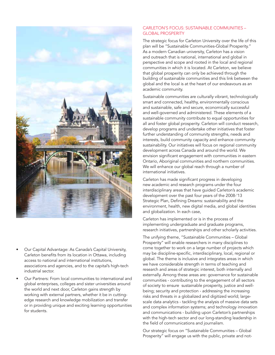

- Our Capital Advantage: As Canada's Capital University, Carleton benefits from its location in Ottawa, including access to national and international institutions, associations and agencies, and to the capital's high-tech industrial sector.
- Our Partners: From local communities to international and global enterprises, colleges and sister universities around the world and next door, Carleton gains strength by working with external partners, whether it be in cuttingedge research and knowledge mobilization and transfer or in providing unique and exciting learning opportunities for students.

#### Carleton's Focus: Sustainable Communities – GLOBAL PROSPERITY

The strategic focus for Carleton University over the life of this plan will be "Sustainable Communities-Global Prosperity." As a modern Canadian university, Carleton has a vision and outreach that is national, international and global in perspective and scope and rooted in the local and regional communities in which it is located. At Carleton, we believe that global prosperity can only be achieved through the building of sustainable communities and this link between the global and the local is at the heart of our endeavours as an academic community.

Sustainable communities are culturally vibrant, technologically smart and connected, healthy, environmentally conscious and sustainable, safe and secure, economically successful and well-governed and administered. These elements of a sustainable community contribute to equal opportunities for all and foster global prosperity. Carleton will conduct research, develop programs and undertake other initiatives that foster further understanding of community strengths, needs and interests, build community capacity and enhance community sustainability. Our initiatives will focus on regional community development across Canada and around the world. We envision significant engagement with communities in eastern Ontario, Aboriginal communities and northern communities. We will enhance our global reach through a number of international initiatives.

Carleton has made significant progress in developing new academic and research programs under the four interdisciplinary areas that have guided Carleton's academic development over the past four years of the 2008-'13 Strategic Plan, Defining Dreams: sustainability and the environment, health, new digital media, and global identities and globalization. In each case,

Carleton has implemented or is in the process of implementing undergraduate and graduate programs, research initiatives, partnerships and other scholarly activities.

The unifying theme, "Sustainable Communities – Global Prosperity" will enable researchers in many disciplines to come together to work on a large number of projects which may be discipline-specific, interdisciplinary, local, regional or global. The theme is inclusive and integrates areas in which we have considerable strength in terms of teaching and research and areas of strategic interest, both internally and externally. Among these areas are: governance for sustainable communities - contributing to the engagement of all sectors of society to ensure sustainable prosperity, justice and wellbeing; security and protection - addressing the increasing risks and threats in a globalized and digitized world; largescale data analytics - tackling the analysis of massive data sets and complex information systems; and technology innovation and communications - building upon Carleton's partnerships with the high-tech sector and our long-standing leadership in the field of communications and journalism.

Our strategic focus on "Sustainable Communities – Global Prosperity" will engage us with the public, private and not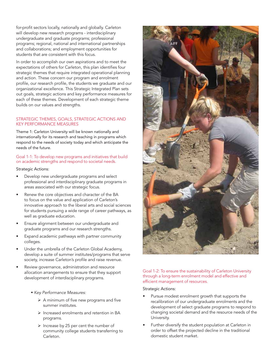for-profit sectors locally, nationally and globally. Carleton will develop new research programs - interdisciplinary undergraduate and graduate programs; professional programs; regional, national and international partnerships and collaborations; and employment opportunities for students that are consistent with this focus.

In order to accomplish our own aspirations and to meet the expectations of others for Carleton, this plan identifies four strategic themes that require integrated operational planning and action. These concern our program and enrolment profile, our research profile, the students we graduate and our organizational excellence. This Strategic Integrated Plan sets out goals, strategic actions and key performance measures for each of these themes. Development of each strategic theme builds on our values and strengths.

#### STRATEGIC THEMES, GOALS, STRATEGIC ACTIONS AND KEY PERFORMANCE MEASURES

Theme 1: Carleton University will be known nationally and internationally for its research and teaching in programs which respond to the needs of society today and which anticipate the needs of the future.

Goal 1-1: To develop new programs and initiatives that build on academic strengths and respond to societal needs.

#### Strategic Actions:

- Develop new undergraduate programs and select professional and interdisciplinary graduate programs in areas associated with our strategic focus.
- Renew the core objectives and character of the BA to focus on the value and application of Carleton's innovative approach to the liberal arts and social sciences for students pursuing a wide range of career pathways, as well as graduate education.
- Ensure alignment between our undergraduate and graduate programs and our research strengths.
- Expand academic pathways with partner community colleges.
- Under the umbrella of the Carleton Global Academy, develop a suite of summer institutes/programs that serve society, increase Carleton's profile and raise revenue.
- Review governance, administration and resource allocation arrangements to ensure that they support development of interdisciplinary programs.
	- § *Key Performance Measures:*
		- $\triangleright$  A minimum of five new programs and five summer institutes.
		- $\triangleright$  Increased enrolments and retention in BA programs.
		- $\triangleright$  Increase by 25 per cent the number of community college students transferring to Carleton.



#### Goal 1-2: To ensure the sustainability of Carleton University through a long-term enrolment model and effective and efficient management of resources.

#### Strategic Actions:

- Pursue modest enrolment growth that supports the recalibration of our undergraduate enrolments and the development of select graduate programs to respond to changing societal demand and the resource needs of the University.
- Further diversify the student population at Carleton in order to offset the projected decline in the traditional domestic student market.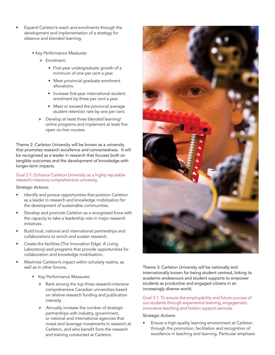- Expand Carleton's reach and enrolments through the development and implementation of a strategy for distance and blended learning.
	- § *Key Performance Measures:*
		- Ø Enrolment:
			- First-year undergraduate growth of a minimum of one per cent a year.
			- Meet provincial graduate enrolment allocations.
			- Increase first-year international student enrolment by three per cent a year.
			- Meet or exceed the provincial average student retention rate by one per cent.
		- $\triangleright$  Develop at least three blended learning/ online programs and implement at least five open on-line courses.

Theme 2: Carleton University will be known as a university that promotes research excellence and connectedness. It will be recognized as a leader in research that focuses both on tangible outcomes and the development of knowledge with longer-term impacts.

#### Goal 2-1: Enhance Carleton University as a highly reputable research-intensive comprehensive university.

#### Strategic Actions:

- Identify and pursue opportunities that position Carleton as a leader in research and knowledge mobilization for the development of sustainable communities.
- Develop and promote Carleton as a recognized force with the capacity to take a leadership role in major research initiatives.
- Build local, national and international partnerships and collaborations to enrich and sustain research.
- Create the facilities (The Innovation Edge: A Living Laboratory) and programs that provide opportunities for collaboration and knowledge mobilization.
- Maximize Carleton's impact within scholarly realms, as well as in other forums.
	- Key Performance Measures:
		- $\triangleright$  Rank among the top three research-intensive comprehensive Canadian universities based on relative research funding and publication intensity.
		- Annually increase the number of strategic partnerships with industry, government, or national and international agencies that invest and leverage investments in research at Carleton, and who benefit from the research and training conducted at Carleton.



Theme 3: Carleton University will be nationally and internationally known for being student centred, linking its academic endeavours and student supports to empower students as productive and engaged citizens in an increasingly diverse world.

Goal 3-1: To ensure the employability and future success of our students through experiential learning, engagement, innovative teaching and holistic support services.

#### Strategic Actions:

Ensure a high-quality learning environment at Carleton through the promotion, facilitation and recognition of excellence in teaching and learning. Particular emphasis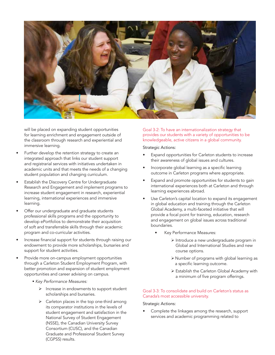

will be placed on expanding student opportunities for learning enrichment and engagement outside of the classroom through research and experiential and immersive learning.

- Further develop the retention strategy to create an integrated approach that links our student support and registrarial services with initiatives undertaken in academic units and that meets the needs of a changing student population and changing curriculum.
- Establish the Discovery Centre for Undergraduate Research and Engagement and implement programs to increase student engagement in research, experiential learning, international experiences and immersive learning.
- Offer our undergraduate and graduate students professional skills programs and the opportunity to develop ePortfolios to demonstrate their acquisition of soft and transferrable skills through their academic program and co-curricular activities.
- Increase financial support for students through raising our endowment to provide more scholarships, bursaries and support for student activities.
- Provide more on-campus employment opportunities through a Carleton Student Employment Program, with better promotion and expansion of student employment opportunities and career advising on campus.
	- § *Key Performance Measures:*
		- $\triangleright$  Increase in endowments to support student scholarships and bursaries.
		- $\triangleright$  Carleton places in the top one-third among its comparator institutions in the levels of student engagement and satisfaction in the National Survey of Student Engagement (NSSE), the Canadian University Survey Consortium (CUSC), and the Canadian Graduate and Professional Student Survey (CGPSS) results.

Goal 3-2: To have an internationalization strategy that provides our students with a variety of opportunities to be knowledgeable, active citizens in a global community.

#### Strategic Actions:

- Expand opportunities for Carleton students to increase their awareness of global issues and cultures.
- Incorporate global learning as a specific learning outcome in Carleton programs where appropriate.
- Expand and promote opportunities for students to gain international experiences both at Carleton and through learning experiences abroad.
- Use Carleton's capital location to expand its engagement in global education and training through the Carleton Global Academy, a multi-faceted initiative that will provide a focal point for training, education, research and engagement on global issues across traditional boundaries.
	- Key Performance Measures:
		- $\triangleright$  Introduce a new undergraduate program in Global and International Studies and new course options.
		- $\triangleright$  Number of programs with global learning as a specific learning outcome.
		- Ø Establish the Carleton Global Academy with a minimum of five program offerings.

#### Goal 3-3: To consolidate and build on Carleton's status as Canada's most accessible university.

#### Strategic Actions:

• Complete the linkages among the research, support services and academic programming related to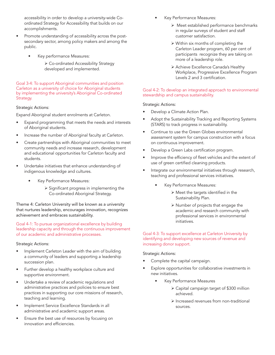accessibility in order to develop a university-wide Coordinated Strategy for Accessibility that builds on our accomplishments.

- Promote understanding of accessibility across the postsecondary sector, among policy makers and among the public.
	- Key performance Measures:
		- Ø Co-ordinated Accessibility Strategy developed and implemented.

Goal 3-4: To support Aboriginal communities and position Carleton as a university of choice for Aboriginal students by implementing the university's Aboriginal Co-ordinated Strategy.

#### Strategic Actions:

Expand Aboriginal student enrolments at Carleton.

- Expand programming that meets the needs and interests of Aboriginal students.
- Increase the number of Aboriginal faculty at Carleton.
- Create partnerships with Aboriginal communities to meet community needs and increase research, development and educational opportunities for Carleton faculty and students.
- Undertake initiatives that enhance understanding of indigenous knowledge and cultures.
	- Key Performance Measures:
		- $\triangleright$  Significant progress in implementing the Co-ordinated Aboriginal Strategy.

Theme 4: Carleton University will be known as a university that nurtures leadership, encourages innovation, recognizes achievement and embraces sustainability.

Goal 4-1: To pursue organizational excellence by building leadership capacity and through the continuous improvement of our academic and administrative processes.

Strategic Actions:

- Implement Carleton Leader with the aim of building a community of leaders and supporting a leadership succession plan.
- Further develop a healthy workplace culture and supportive environment.
- Undertake a review of academic regulations and administrative practices and policies to ensure best practices in supporting our core missions of research, teaching and learning.
- Implement Service Excellence Standards in all administrative and academic support areas.
- Ensure the best use of resources by focusing on innovation and efficiencies.
- Key Performance Measures:
	- $\triangleright$  Meet established performance benchmarks in regular surveys of student and staff customer satisfaction.
	- $\triangleright$  Within six months of completing the Carleton Leader program, 60 per cent of participants recognize they are taking on more of a leadership role.
	- Ø Achieve Excellence Canada's Healthy Workplace, Progressive Excellence Program Levels 2 and 3 certification.

#### Goal 4-2: To develop an integrated approach to environmental stewardship and campus sustainability.

#### Strategic Actions:

- Develop a Climate Action Plan.
- Adopt the Sustainability Tracking and Reporting Systems (STARS) to track progress in sustainability.
- Continue to use the Green Globes environmental assessment system for campus construction with a focus on continuous improvement.
- Develop a Green Labs certification program.
- Improve the efficiency of fleet vehicles and the extent of use of green certified cleaning products.
- Integrate our environmental initiatives through research, teaching and professional services initiatives.
	- Key Performance Measures:
		- $\triangleright$  Meet the targets identified in the Sustainability Plan.
		- $\triangleright$  Number of projects that engage the academic and research community with professional services in environmental initiatives.

Goal 4-3: To support excellence at Carleton University by identifying and developing new sources of revenue and increasing donor support.

#### Strategic Actions:

- Complete the capital campaign.
- Explore opportunities for collaborative investments in new initiatives.
	- Key Performance Measures
		- $\triangleright$  Capital campaign target of \$300 million achieved.
		- $\triangleright$  Increased revenues from non-traditional sources.